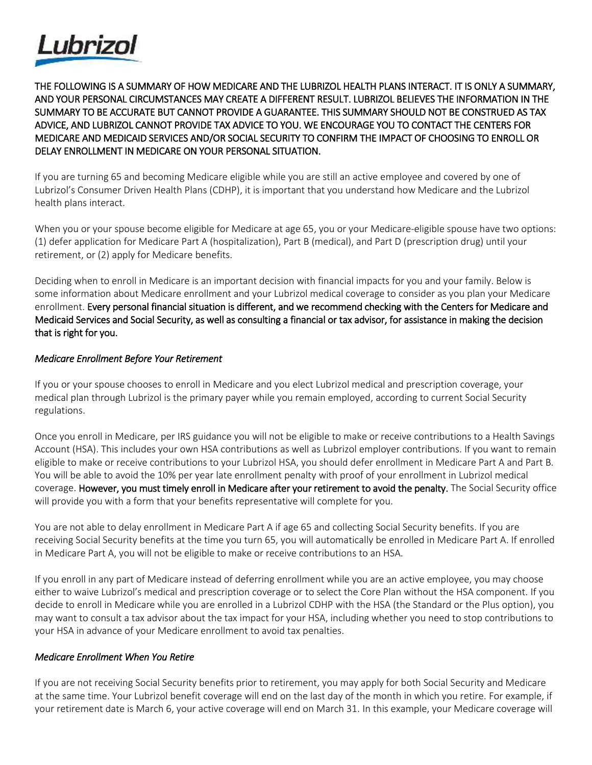

THE FOLLOWING IS A SUMMARY OF HOW MEDICARE AND THE LUBRIZOL HEALTH PLANS INTERACT. IT IS ONLY A SUMMARY, AND YOUR PERSONAL CIRCUMSTANCES MAY CREATE A DIFFERENT RESULT. LUBRIZOL BELIEVES THE INFORMATION IN THE SUMMARY TO BE ACCURATE BUT CANNOT PROVIDE A GUARANTEE. THIS SUMMARY SHOULD NOT BE CONSTRUED AS TAX ADVICE, AND LUBRIZOL CANNOT PROVIDE TAX ADVICE TO YOU. WE ENCOURAGE YOU TO CONTACT THE CENTERS FOR MEDICARE AND MEDICAID SERVICES AND/OR SOCIAL SECURITY TO CONFIRM THE IMPACT OF CHOOSING TO ENROLL OR DELAY ENROLLMENT IN MEDICARE ON YOUR PERSONAL SITUATION.

If you are turning 65 and becoming Medicare eligible while you are still an active employee and covered by one of Lubrizol's Consumer Driven Health Plans (CDHP), it is important that you understand how Medicare and the Lubrizol health plans interact.

When you or your spouse become eligible for Medicare at age 65, you or your Medicare-eligible spouse have two options: (1) defer application for Medicare Part A (hospitalization), Part B (medical), and Part D (prescription drug) until your retirement, or (2) apply for Medicare benefits.

Deciding when to enroll in Medicare is an important decision with financial impacts for you and your family. Below is some information about Medicare enrollment and your Lubrizol medical coverage to consider as you plan your Medicare enrollment. Every personal financial situation is different, and we recommend checking with the Centers for Medicare and Medicaid Services and Social Security, as well as consulting a financial or tax advisor, for assistance in making the decision that is right for you.

## *Medicare Enrollment Before Your Retirement*

If you or your spouse chooses to enroll in Medicare and you elect Lubrizol medical and prescription coverage, your medical plan through Lubrizol is the primary payer while you remain employed, according to current Social Security regulations.

Once you enroll in Medicare, per IRS guidance you will not be eligible to make or receive contributions to a Health Savings Account (HSA). This includes your own HSA contributions as well as Lubrizol employer contributions. If you want to remain eligible to make or receive contributions to your Lubrizol HSA, you should defer enrollment in Medicare Part A and Part B. You will be able to avoid the 10% per year late enrollment penalty with proof of your enrollment in Lubrizol medical coverage. However, you must timely enroll in Medicare after your retirement to avoid the penalty. The Social Security office will provide you with a form that your benefits representative will complete for you.

You are not able to delay enrollment in Medicare Part A if age 65 and collecting Social Security benefits. If you are receiving Social Security benefits at the time you turn 65, you will automatically be enrolled in Medicare Part A. If enrolled in Medicare Part A, you will not be eligible to make or receive contributions to an HSA.

If you enroll in any part of Medicare instead of deferring enrollment while you are an active employee, you may choose either to waive Lubrizol's medical and prescription coverage or to select the Core Plan without the HSA component. If you decide to enroll in Medicare while you are enrolled in a Lubrizol CDHP with the HSA (the Standard or the Plus option), you may want to consult a tax advisor about the tax impact for your HSA, including whether you need to stop contributions to your HSA in advance of your Medicare enrollment to avoid tax penalties.

## *Medicare Enrollment When You Retire*

If you are not receiving Social Security benefits prior to retirement, you may apply for both Social Security and Medicare at the same time. Your Lubrizol benefit coverage will end on the last day of the month in which you retire. For example, if your retirement date is March 6, your active coverage will end on March 31. In this example, your Medicare coverage will